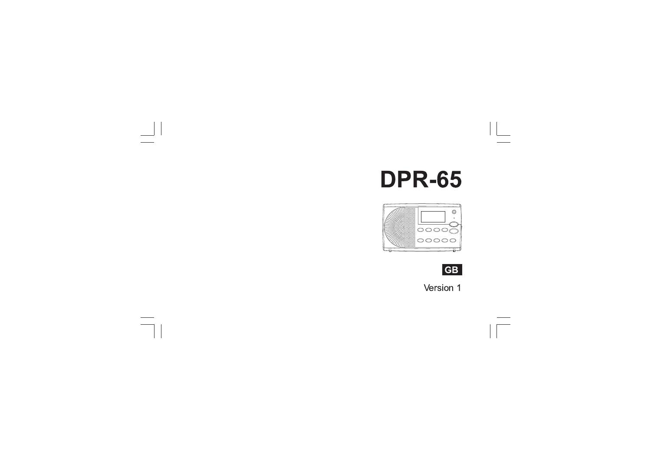# **DPR-65**

 $\hspace{2em}$ 

 $\boxed{\phantom{1}}$ 





 $\sqrt{2}$ 

Version 1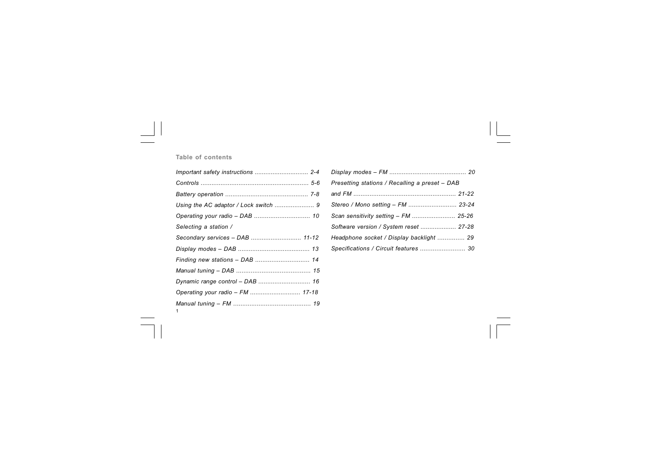# **Table of contents**

 $\Box$ 

 $\overline{\overline{\phantom{a}}\phantom{a}}$ 

| Selecting a station /           |  |
|---------------------------------|--|
| Secondary services - DAB  11-12 |  |
|                                 |  |
| Finding new stations - DAB  14  |  |
|                                 |  |
|                                 |  |
|                                 |  |
|                                 |  |

| Presetting stations / Recalling a preset - DAB |  |
|------------------------------------------------|--|
|                                                |  |
| Stereo / Mono setting - FM  23-24              |  |
| Scan sensitivity setting - FM  25-26           |  |
| Software version / System reset  27-28         |  |
| Headphone socket / Display backlight  29       |  |
| Specifications / Circuit features  30          |  |

 $\mathbf{L}$ 

 $\begin{array}{c} \hline \hline \hline \hline \hline \hline \hline \end{array}$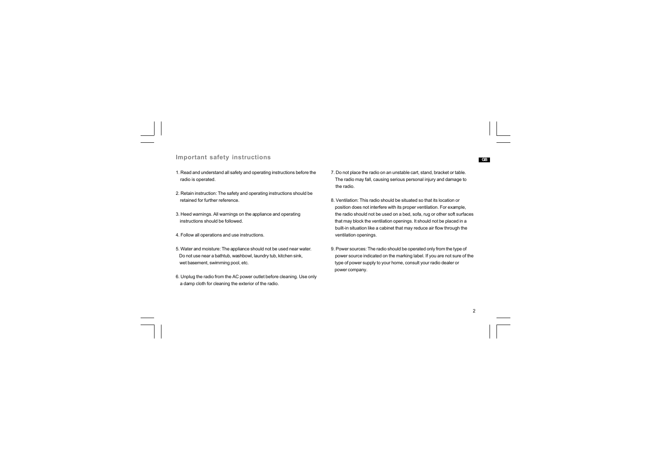## **Important safety instructions**

- 1. Read and understand all safety and operating instructions before the radio is operated.
- 2. Retain instruction: The safety and operating instructions should be retained for further reference.
- 3. Heed warnings. All warnings on the appliance and operating instructions should be followed.
- 4. Follow all operations and use instructions.
- 5. Water and moisture: The appliance should not be used near water. Do not use near a bathtub, washbowl, laundry tub, kitchen sink, wet basement, swimming pool, etc.
- 6. Unplug the radio from the AC power outlet before cleaning. Use only a damp cloth for cleaning the exterior of the radio.
- 7. Do not place the radio on an unstable cart, stand, bracket or table. The radio may fall, causing serious personal injury and damage to the radio.
- 8. Ventilation: This radio should be situated so that its location or position does not interfere with its proper ventilation. For example, the radio should not be used on a bed, sofa, rug or other soft surfaces that may block the ventilation openings. It should not be placed in a built-in situation like a cabinet that may reduce air flow through the ventilation openings.
- 9. Power sources: The radio should be operated only from the type of power source indicated on the marking label. If you are not sure of the type of power supply to your home, consult your radio dealer or power company.

2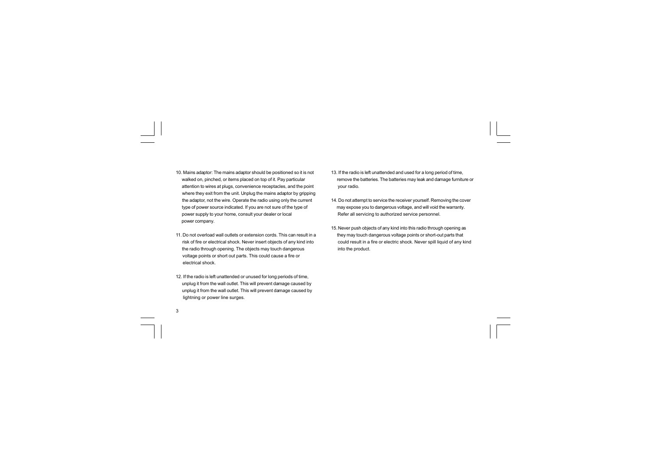- 10. Mains adaptor: The mains adaptor should be positioned so it is not walked on, pinched, or items placed on top of it. Pay particular attention to wires at plugs, convenience receptacles, and the point where they exit from the unit. Unplug the mains adaptor by gripping the adaptor, not the wire. Operate the radio using only the current type of power source indicated. If you are not sure of the type of power supply to your home, consult your dealer or local power company.
- 11. Do not overload wall outlets or extension cords. This can result in a risk of fire or electrical shock. Never insert objects of any kind into the radio through opening. The objects may touch dangerous voltage points or short out parts. This could cause a fire or electrical shock.
- 12. If the radio is left unattended or unused for long periods of time, unplug it from the wall outlet. This will prevent damage caused by unplug it from the wall outlet. This will prevent damage caused by lightning or power line surges.

- 13. If the radio is left unattended and used for a long period of time, remove the batteries. The batteries may leak and damage furniture or your radio.
- 14. Do not attempt to service the receiver yourself. Removing the cover may expose you to dangerous voltage, and will void the warranty. Refer all servicing to authorized service personnel.
- 15. Never push objects of any kind into this radio through opening as they may touch dangerous voltage points or short-out parts that could result in a fire or electric shock. Never spill liquid of any kind into the product.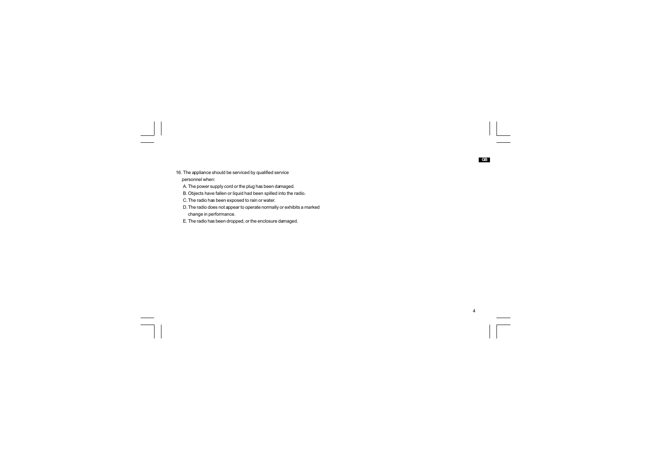16. The appliance should be serviced by qualified service personnel when:

A. The power supply cord or the plug has been damaged.

B. Objects have fallen or liquid had been spilled into the radio.

C. The radio has been exposed to rain or water.

 $\overline{\neg}$ 

D. The radio does not appear to operate normally or exhibits a marked change in performance.

 $\begin{array}{c|c} \begin{array}{c} 4 \\ \hline \end{array} & \begin{array}{c} \begin{array}{c} \begin{array}{c} \begin{array}{c} \end{array} \\ \end{array} \\ \hline \end{array} \\ \end{array} \\ \begin{array}{c} \begin{array}{c} \end{array} \\ \end{array} \\ \end{array} \end{array}$ 

**GB**

E. The radio has been dropped, or the enclosure damaged.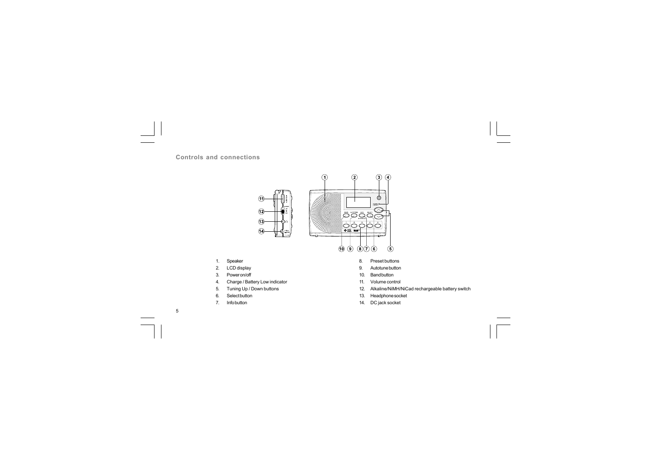**Controls and connections**



1. Speaker

2. LCD display

3. Power on/off

- 4. Charge / Battery Low indicator
- 5. Tuning Up / Down buttons
- 6. Select button
- 7. Info button

- Autotune button 9.
- 10. Band button
- 11. Volume control
- 12. Alkaline/NiMH/NiCad rechargeable battery switch
- 13. Headphone socket
- 14. DC jack socket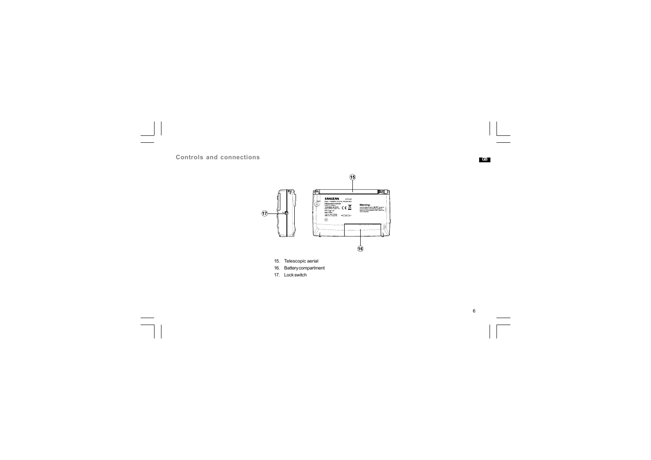





6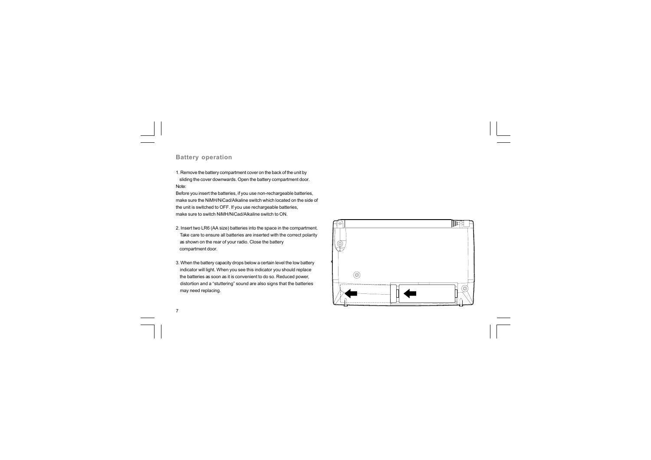## **Battery operation**

1. Remove the battery compartment cover on the back of the unit by sliding the cover downwards. Open the battery compartment door. Note:

Before you insert the batteries, if you use non-rechargeable batteries, make sure the NiMH/NiCad/Alkaline switch which located on the side of the unit is switched to OFF. If you use rechargeable batteries, make sure to switch NiMH/NiCad/Alkaline switch to ON.

- 2. Insert two LR6 (AA size) batteries into the space in the compartment. Take care to ensure all batteries are inserted with the correct polarity as shown on the rear of your radio. Close the battery compartment door.
- 3. When the battery capacity drops below a certain level the low battery indicator will light. When you see this indicator you should replace the batteries as soon as it is convenient to do so. Reduced power, distortion and a "stuttering" sound are also signs that the batteries may need replacing.

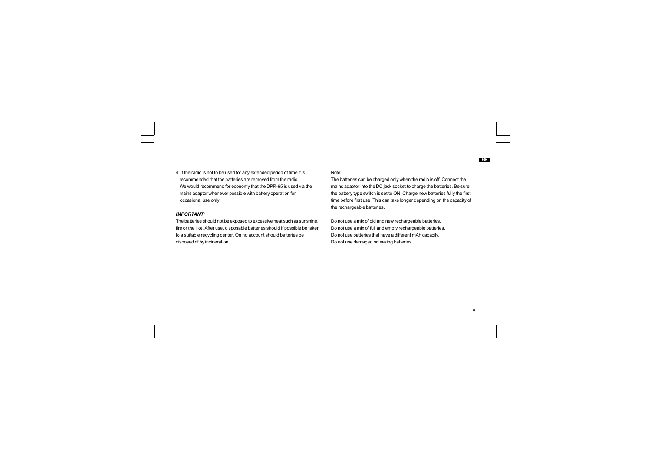4. If the radio is not to be used for any extended period of time it is recommended that the batteries are removed from the radio. We would recommend for economy that the DPR-65 is used via the mains adaptor whenever possible with battery operation for occasional use only.

#### *IMPORTANT:*

The batteries should not be exposed to excessive heat such as sunshine, fire or the like. After use, disposable batteries should if possible be taken to a suitable recycling center. On no account should batteries be disposed of by incineration.

#### Note:

The batteries can be charged only when the radio is off. Connect the mains adaptor into the DC jack socket to charge the batteries. Be sure the battery type switch is set to ON. Charge new batteries fully the first time before first use. This can take longer depending on the capacity of the rechargeable batteries.

Do not use a mix of old and new rechargeable batteries. Do not use a mix of full and empty rechargeable batteries. Do not use batteries that have a different mAh capacity. Do not use damaged or leaking batteries.

 $\overline{1}$ 

**GB**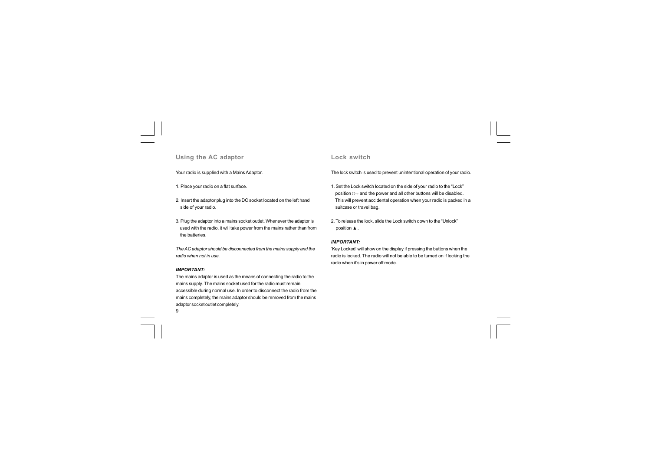## **Using the AC adaptor**

Your radio is supplied with a Mains Adaptor.

1. Place your radio on a flat surface.

2. Insert the adaptor plug into the DC socket located on the left hand side of your radio.

3. Plug the adaptor into a mains socket outlet. Whenever the adaptor is used with the radio, it will take power from the mains rather than from the batteries.

*The AC adaptor should be disconnected from the mains supply and the radio when not in use.*

#### *IMPORTANT:*

 $9$ The mains adaptor is used as the means of connecting the radio to the mains supply. The mains socket used for the radio must remain accessible during normal use. In order to disconnect the radio from the mains completely, the mains adaptor should be removed from the mains adaptor socket outlet completely.

#### **Lock switch**

The lock switch is used to prevent unintentional operation of your radio.

1. Set the Lock switch located on the side of your radio to the "Lock" position  $O<sub>II</sub>$  and the power and all other buttons will be disabled. This will prevent accidental operation when your radio is packed in a suitcase or travel bag.

2. To release the lock, slide the Lock switch down to the "Unlock" position  $\blacktriangle$ .

#### *IMPORTANT:*

'Key Locked' will show on the display if pressing the buttons when the radio is locked. The radio will not be able to be turned on if locking the radio when it's in power off mode.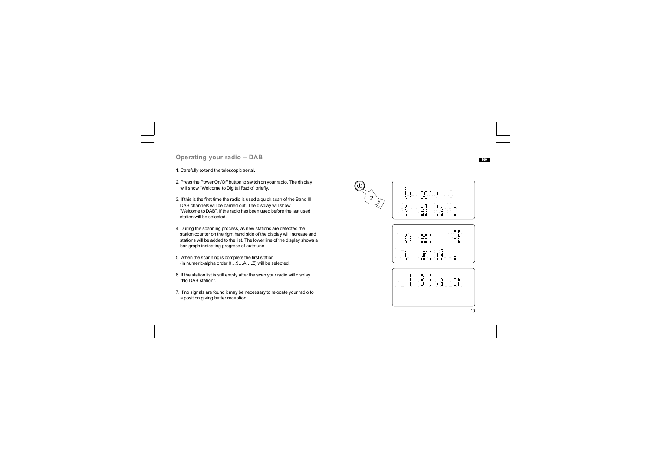## **Operating your radio – DAB**

1. Carefully extend the telescopic aerial.

2. Press the Power On/Off button to switch on your radio. The display will show "Welcome to Digital Radio" briefly.

- 3. If this is the first time the radio is used a quick scan of the Band III DAB channels will be carried out. The display will show "Welcome to DAB". If the radio has been used before the last used station will be selected.
- 4. During the scanning process, as new stations are detected the station counter on the right hand side of the display will increase and stations will be added to the list. The lower line of the display shows a bar-graph indicating progress of autotune.
- 5. When the scanning is complete the first station (in numeric-alpha order 0…9…A….Z) will be selected.
- 6. If the station list is still empty after the scan your radio will display "No DAB station".
- 7. If no signals are found it may be necessary to relocate your radio to a position giving better reception.

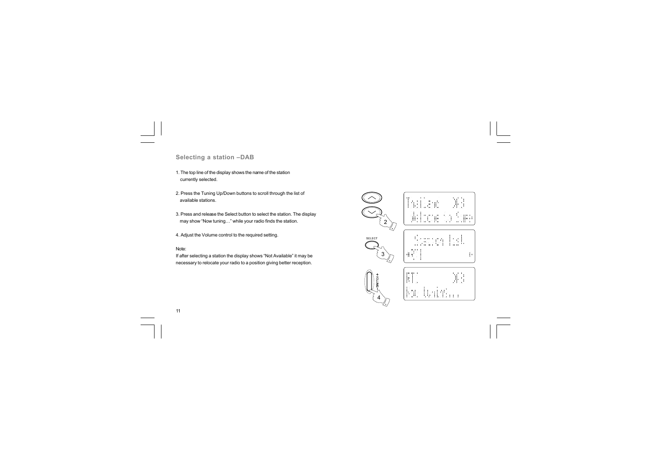# **Selecting a station –DAB**

1. The top line of the display shows the name of the station currently selected.

2. Press the Tuning Up/Down buttons to scroll through the list of available stations.

3. Press and release the Select button to select the station. The display may show "Now tuning…" while your radio finds the station.

4. Adjust the Volume control to the required setting.

#### Note:

11

If after selecting a station the display shows "Not Available" it may be necessary to relocate your radio to a position giving better reception.



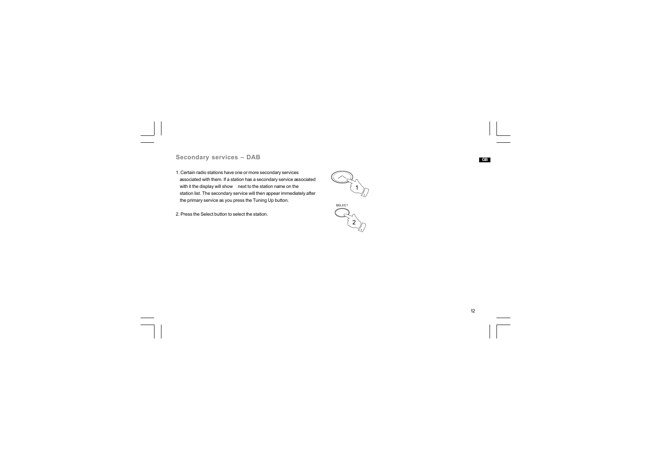# **Secondary services – DAB**

1. Certain radio stations have one or more secondary services associated with them. If a station has a secondary service associated with it the display will show  $*$  next to the station name on the station list. The secondary service will then appear immediately after the primary service as you press the Tuning Up button.

2. Press the Select button to select the station.



2

12  $\sqrt{2}$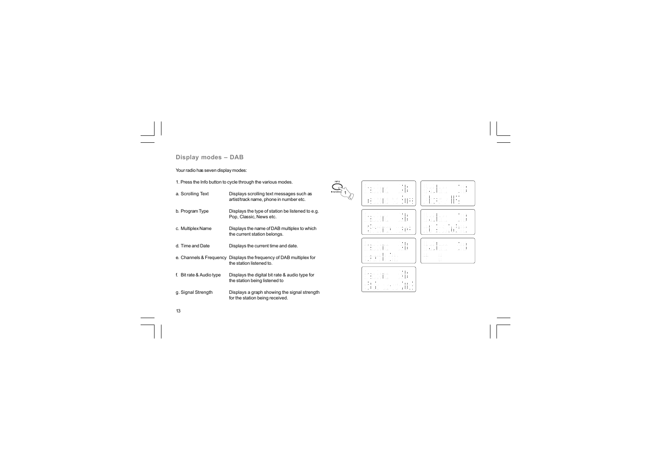# **Display modes – DAB**

# Your radio has seven display modes:

1. Press the Info button to cycle through the various modes.

| a. Scrolling Text        | Displays scrolling text messages such as<br>artist/track name, phone in number etc.             |
|--------------------------|-------------------------------------------------------------------------------------------------|
| b. Program Type          | Displays the type of station be listened to e.g.<br>Pop, Classic, News etc.                     |
| c. Multiplex Name        | Displays the name of DAB multiplex to which<br>the current station belongs.                     |
| d. Time and Date         | Displays the current time and date.                                                             |
|                          | e. Channels & Frequency Displays the frequency of DAB multiplex for<br>the station listened to. |
| f. Bit rate & Audio type | Displays the digital bit rate & audio type for<br>the station being listened to                 |
| g. Signal Strength       | Displays a graph showing the signal strength<br>for the station being received.                 |

| INFO<br><b>ADVANCE</b><br>1<br>ی⁄ | <b>HELL</b><br><b>111 111 1111</b><br>1.1.1.1.1.1<br>$\cdots$<br>$\sim$<br><br>.   .<br>marrang<br><b><i><u><i><u>Filled</u></i></u></i></b><br>MTM.<br>$\mathbf{r}$<br>٠<br>111<br>iis Isaaca<br>Supa<br><b>10 10</b><br>88:COMP<br>ŦΩ<br><br>11 11 11 11 11 1 11 1<br>in in<br><br>f me                                                                                                  | 1100 1<br><b>111 10 110</b><br>$1 - 10$<br>1.1.1.1.1<br>$\sim$<br>л.<br>$m + n - n +$<br>.<br>.   .<br>. .<br>.<br>٠<br>10 11 11<br>.<br>.<br>×<br><b><i><u><i><u>FINITI 1</u></i></u></i></b><br>.<br>.<br>M FILM<br><b>ALC</b><br>1. 1999. 19<br>MO T<br>filihos<br>×<br>111111<br>- 2<br>$\sim$ $\chi$<br>- 7<br>$1 - 11$<br>- 61<br>1.11<br>٠<br>w<br>1.11<br>nien.<br>٠ |
|-----------------------------------|--------------------------------------------------------------------------------------------------------------------------------------------------------------------------------------------------------------------------------------------------------------------------------------------------------------------------------------------------------------------------------------------|------------------------------------------------------------------------------------------------------------------------------------------------------------------------------------------------------------------------------------------------------------------------------------------------------------------------------------------------------------------------------|
|                                   | <b>DOM: N</b><br>00 00 000<br>٠<br>14<br><b>FREE</b><br>$\cdots$<br>18<br>an an air<br>.<br>.<br>1821 F.WIN<br>1 11 1 m<br>$1 - 111111111111$<br>11191 I SH NA<br><b><i><u>.</u></i></b><br>DE L. LOUI<br><b>ALCOHOL:</b><br><br>٠<br>(ProGram<br>×<br>m<br>.<br><b>Flasher Automobile</b><br>٠<br>٠<br>n a<br>.<br>$\cdots$<br>$\mathbf{r}$<br>the contract of<br><br>an in<br>îш.<br>. . | THE T<br>×.<br>- 16<br><b>10 10 110</b><br><b><i>A</i></b><br>1.1<br>٠.<br><br>4 For an an<br>.<br>. .<br><br><b>1.11.11.11</b><br>.<br><br>.<br>- 11<br>.  .<br><b>.</b> .<br>1. CO 0. 1<br><b><i>BERTH</i></b><br>DE L. LOUI<br>$10 - 1 - 1011$<br><b>TAGMI-</b><br>18.121<br>4 G.O<br>17 O.<br>W.<br>713.350967<br><br>.<br>.<br>.<br><b>181 000 000</b>                  |
|                                   | <b>DOM: Y</b><br><b>ULL 10 ULL</b><br>×<br>- 18<br>nnn<br>m<br>÷<br>1 1 a 10 a<br>INAI LANN<br>$1 - 111111111111$<br>.<br><b>DE L. LOUI</b><br><br>111<br><br>.<br>film and M<br>.<br>alrenni<br>i ii iimi<br>i imit i<br>.<br><b>HE HAT</b><br>$10 - 1 - 100$                                                                                                                             | <b>THEFT</b><br>×.<br>10.<br><b>DE 10 DE</b><br>nnn<br>тı<br>n.<br><b>C 10 00 00</b><br>: 81 21 1 28 37<br>1 . 1 . 1 . 1 .<br>.  .<br>.<br>.<br>in i im<br>1111<br><b>COLLECTION</b><br>$\sim$<br>1111 1111<br>. .<br><b>THE THE</b><br>i î<br><b>DILTING</b><br>÷.<br><b>FILE END</b><br>. .<br><b>SHIP</b>                                                                 |
|                                   | <b>THEFT</b><br>111 111 1111<br>$1 - 10$<br>nnn<br>Մելուս է այդով<br>inai i ann<br>1 11 1 Dec<br>.<br>.<br><b>10 1 100</b><br>4 1919<br>1113 113<br>$1 - 111$<br>1.111<br>\$50 \$50 \$ \$50<br>.<br>9 O.L<br><br>.<br>1 00 0<br>.<br><br><br>1 Jan Lidam 718 Lid<br>19:78<br>119<br>2010<br>1. C<br>î i<br>$111 - 1111$<br><b>111 111</b>                                                  |                                                                                                                                                                                                                                                                                                                                                                              |

 $\sqrt{2}$ 

13

 $\overline{\neg}$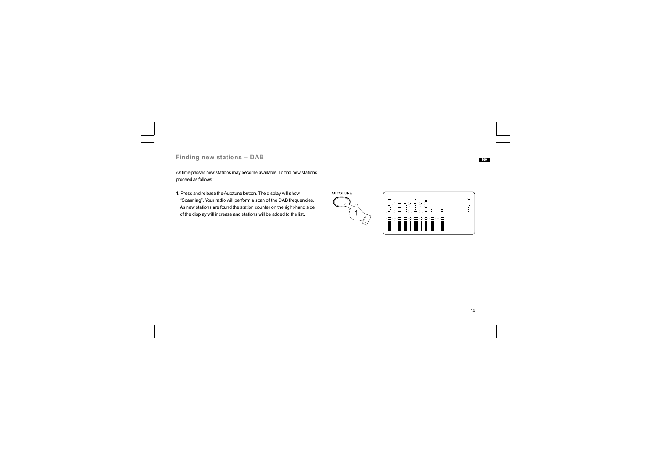# **Finding new stations – DAB**

As time passes new stations may become available. To find new stations proceed as follows:

1. Press and release the Autotune button. The display will show "Scanning". Your radio will perform a scan of the DAB frequencies. As new stations are found the station counter on the right-hand side of the display will increase and stations will be added to the list.

AUTOTUNE  $\frac{1}{2}$ æľ Ŧ m 

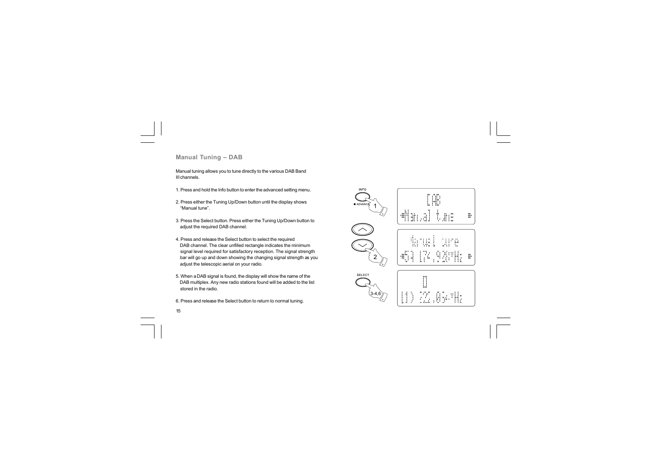## **Manual Tuning – DAB**

15

Manual tuning allows you to tune directly to the various DAB Band III channels.

- 1. Press and hold the Info button to enter the advanced setting menu.
- 2. Press either the Tuning Up/Down button until the display shows "Manual tune".
- 3. Press the Select button. Press either the Tuning Up/Down button to adjust the required DAB channel.
- 4. Press and release the Select button to select the required DAB channel. The clear unfilled rectangle indicates the minimum signal level required for satisfactory reception. The signal strength bar will go up and down showing the changing signal strength as you adjust the telescopic aerial on your radio.
- 5. When a DAB signal is found, the display will show the name of the DAB multiplex. Any new radio stations found will be added to the list stored in the radio.
- 6. Press and release the Select button to return to normal tuning.

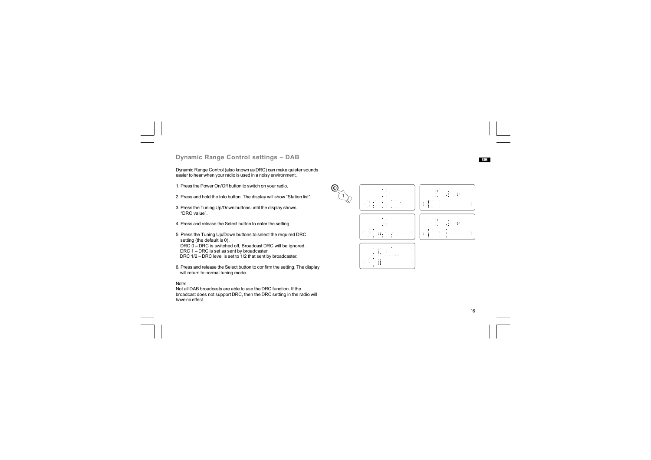## **Dynamic Range Control settings – DAB**

Dynamic Range Control (also known as DRC) can make quieter sounds easier to hear when your radio is used in a noisy environment.

1. Press the Power On/Off button to switch on your radio.

2. Press and hold the Info button. The display will show "Station list".

3. Press the Tuning Up/Down buttons until the display shows "DRC value".

4. Press and release the Select button to enter the setting.

5. Press the Tuning Up/Down buttons to select the required DRC setting (the default is 0). DRC 0 – DRC is switched off, Broadcast DRC will be ignored. DRC 1 – DRC is set as sent by broadcaster.

DRC 1/2 – DRC level is set to 1/2 that sent by broadcaster.

6. Press and release the Select button to confirm the setting. The display will return to normal tuning mode.

#### Note:

Not all DAB broadcasts are able to use the DRC function. If the broadcast does not support DRC, then the DRC setting in the radio will have no effect.



16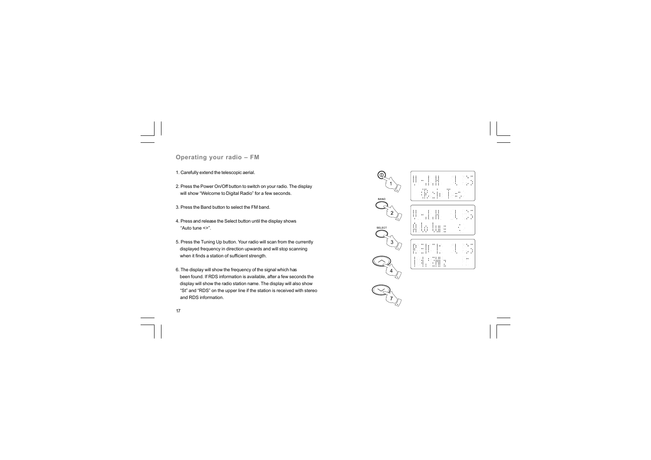**Operating your radio – FM**

1. Carefully extend the telescopic aerial.

2. Press the Power On/Off button to switch on your radio. The display will show "Welcome to Digital Radio" for a few seconds.

3. Press the Band button to select the FM band.

4. Press and release the Select button until the display shows "Auto tune <>".

5. Press the Tuning Up button. Your radio will scan from the currently displayed frequency in direction upwards and will stop scanning when it finds a station of sufficient strength.

6. The display will show the frequency of the signal which has been found. If RDS information is available, after a few seconds the display will show the radio station name. The display will also show "St" and "RDS" on the upper line if the station is received with stereo and RDS information.

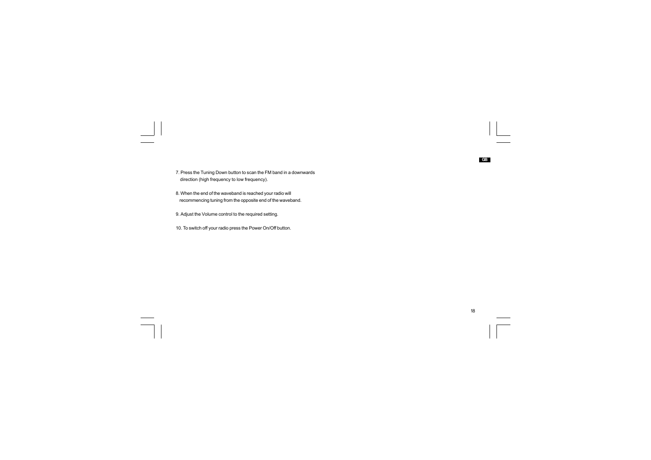7. Press the Tuning Down button to scan the FM band in a downwards direction (high frequency to low frequency).

8. When the end of the waveband is reached your radio will recommencing tuning from the opposite end of the waveband.

9. Adjust the Volume control to the required setting.

 $\overline{\overline{\phantom{a}}\phantom{a}}$ 

10. To switch off your radio press the Power On/Off button.

 $\begin{array}{c|c}\n18 \\
\hline\n\end{array}$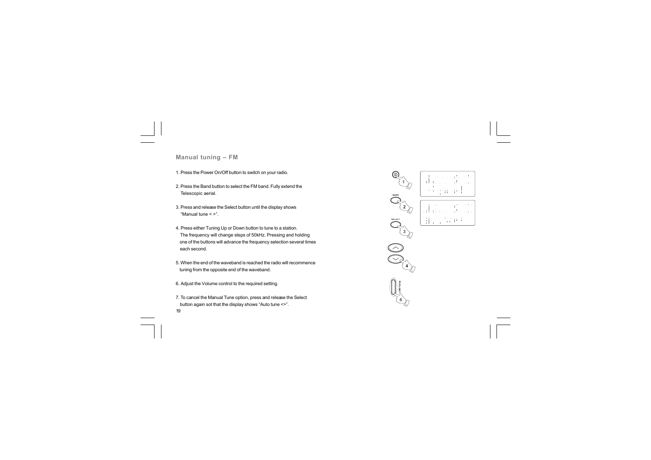**Manual tuning – FM**

1. Press the Power On/Off button to switch on your radio.

2. Press the Band button to select the FM band. Fully extend the Telescopic aerial.

3. Press and release the Select button until the display shows "Manual tune < >".

4. Press either Tuning Up or Down button to tune to a station. The frequency will change steps of 50kHz. Pressing and holding one of the buttons will advance the frequency selection several times each second.

5. When the end of the waveband is reached the radio will recommence tuning from the opposite end of the waveband.

6. Adjust the Volume control to the required setting.

19 7. To cancel the Manual Tune option, press and release the Select button again sot that the display shows "Auto tune <>".

**BAND** 3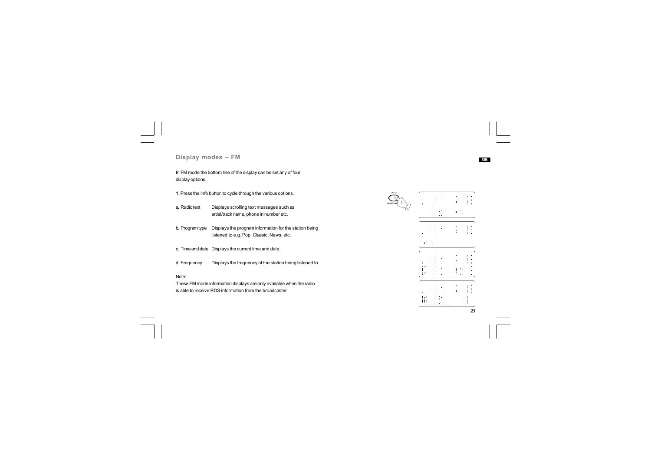**Display modes – FM**

In FM mode the bottom line of the display can be set any of four display options.

1. Press the Info button to cycle through the various options.

- a. Radio text Displays scrolling text messages such as artist/track name, phone in number etc.
- b. Program type Displays the program information for the station being listened to e.g. Pop, Classic, News, etc.

c. Time and date Displays the current time and date.

d. Displays the frequency of the station being listened to. Frequency

Note:

These FM mode information displays are only available when the radio is able to receive RDS information from the broadcaster.

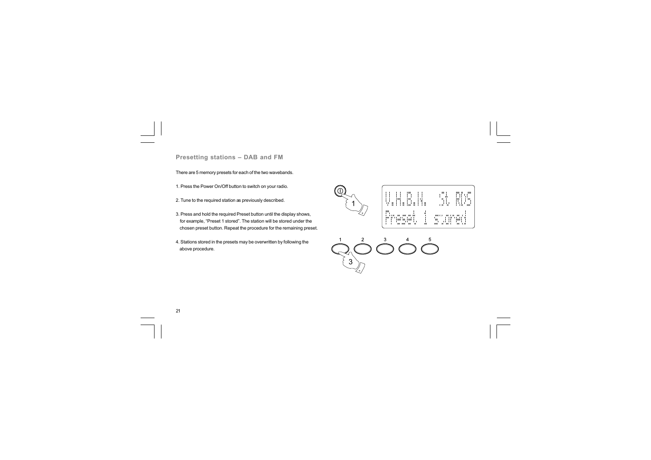**Presetting stations – DAB and FM**

There are 5 memory presets for each of the two wavebands.

1. Press the Power On/Off button to switch on your radio.

- 2. Tune to the required station as previously described.
- 3. Press and hold the required Preset button until the display shows, for example, "Preset 1 stored". The station will be stored under the chosen preset button. Repeat the procedure for the remaining preset.
- 4. Stations stored in the presets may be overwritten by following the above procedure.





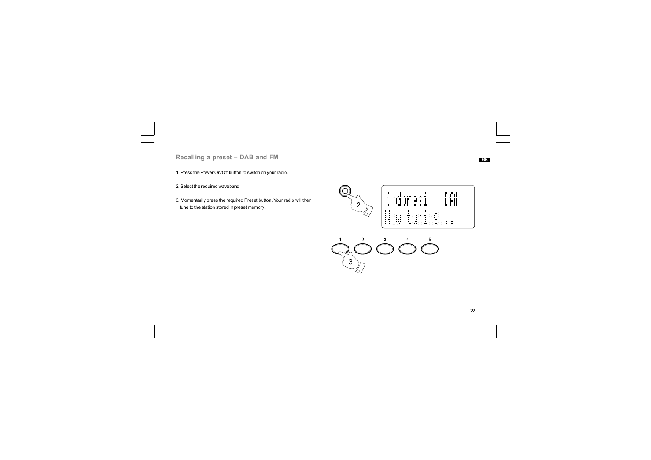**Recalling a preset – DAB and FM**

1. Press the Power On/Off button to switch on your radio.

2. Select the required waveband.

3. Momentarily press the required Preset button. Your radio will then tune to the station stored in preset memory.<br>  $\{2\}$ 







**GB**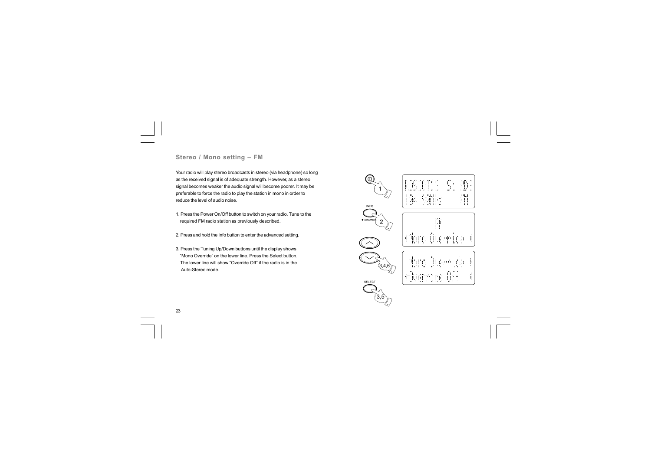# **Stereo / Mono setting – FM**

Your radio will play stereo broadcasts in stereo (via headphone) so long as the received signal is of adequate strength. However, as a stereo signal becomes weaker the audio signal will become poorer. It may be preferable to force the radio to play the station in mono in order to reduce the level of audio noise.

- 1. Press the Power On/Off button to switch on your radio. Tune to the required FM radio station as previously described.
- 2. Press and hold the Info button to enter the advanced setting.
- 3. Press the Tuning Up/Down buttons until the display shows "Mono Override" on the lower line. Press the Select button. The lower line will show "Override Off" if the radio is in the Auto-Stereo mode.



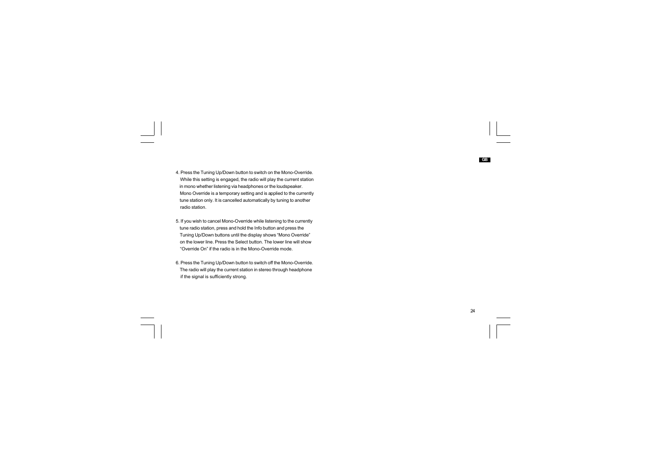- 4. Press the Tuning Up/Down button to switch on the Mono-Override. While this setting is engaged, the radio will play the current station in mono whether listening via headphones or the loudspeaker. Mono Override is a temporary setting and is applied to the currently tune station only. It is cancelled automatically by tuning to another radio station.
- 5. If you wish to cancel Mono-Override while listening to the currently tune radio station, press and hold the Info button and press the Tuning Up/Down buttons until the display shows "Mono Override" on the lower line. Press the Select button. The lower line will show "Override On" if the radio is in the Mono-Override mode.
- 6. Press the Tuning Up/Down button to switch off the Mono-Override. The radio will play the current station in stereo through headphone if the signal is sufficiently strong.

24

 $\overline{1}$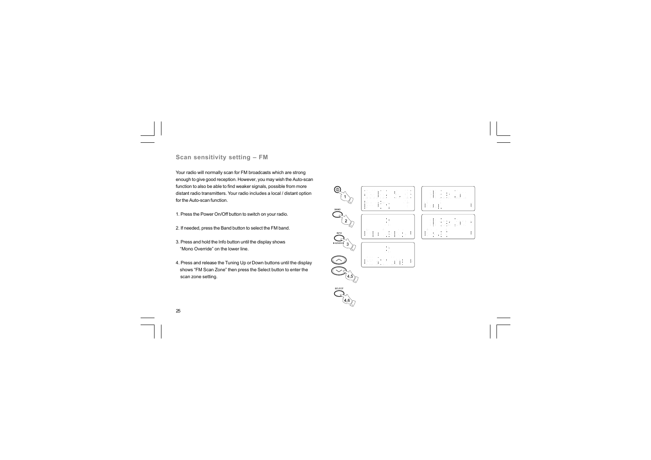## **Scan sensitivity setting – FM**

Your radio will normally scan for FM broadcasts which are strong enough to give good reception. However, you may wish the Auto-scan function to also be able to find weaker signals, possible from more distant radio transmitters. Your radio includes a local / distant option for the Auto-scan function.

- 1. Press the Power On/Off button to switch on your radio.
- 2. If needed, press the Band button to select the FM band.
- 3. Press and hold the Info button until the display shows "Mono Override" on the lower line.
- 4. Press and release the Tuning Up or Down buttons until the display shows "FM Scan Zone" then press the Select button to enter the scan zone setting.



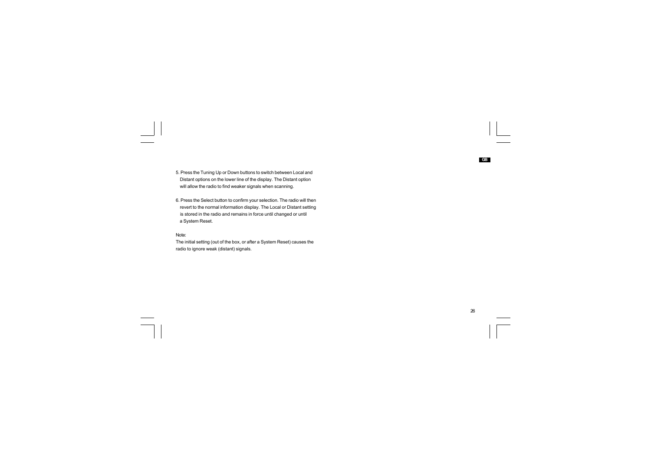5. Press the Tuning Up or Down buttons to switch between Local and Distant options on the lower line of the display. The Distant option will allow the radio to find weaker signals when scanning.

6. Press the Select button to confirm your selection. The radio will then revert to the normal information display. The Local or Distant setting is stored in the radio and remains in force until changed or until a System Reset.

#### Note:

 $\Box$ 

The initial setting (out of the box, or after a System Reset) causes the radio to ignore weak (distant) signals.

 $\overline{1}$ 

**GB**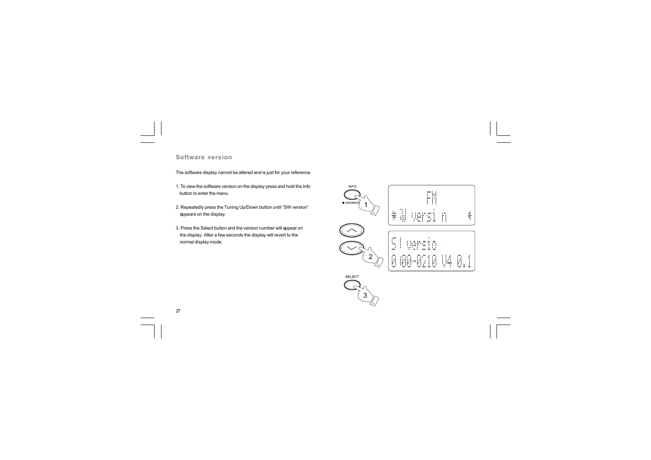#### **Software version**

The software display cannot be altered and is just for your reference.

- 1. To view the software version on the display press and hold the Info button to enter the menu.
- 2. Repeatedly press the Tuning Up/Down button until "SW version" appears on the display.
- 3. Press the Select button and the version number will appear on the display. After a few seconds the display will revert to the normal display mode.



 $\sqrt{2}$ 

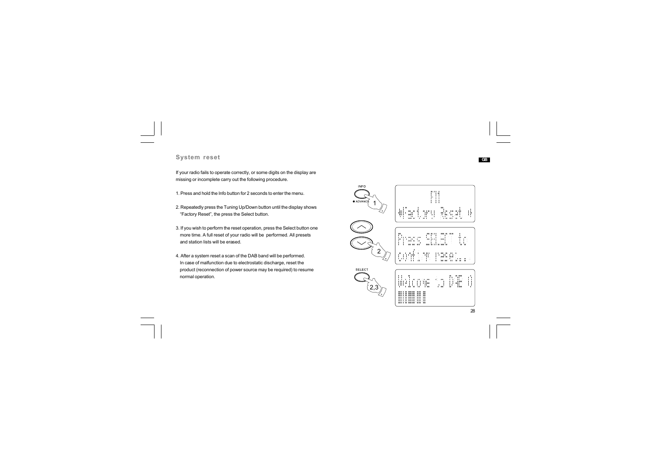## **System reset**

If your radio fails to operate correctly, or some digits on the display are missing or incomplete carry out the following procedure.

- 1. Press and hold the Info button for 2 seconds to enter the menu.
- 2. Repeatedly press the Tuning Up/Down button until the display shows "Factory Reset", the press the Select button.
- 3. If you wish to perform the reset operation, press the Select button one more time. A full reset of your radio will be performed. All presets and station lists will be erased.
- 4. After a system reset a scan of the DAB band will be performed. In case of malfunction due to electrostatic discharge, reset the product (reconnection of power source may be required) to resume normal operation.

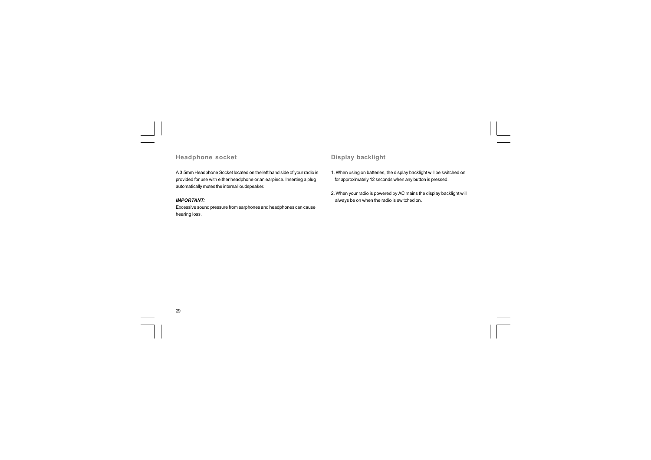# **Headphone socket**

# **Display backlight**

A 3.5mm Headphone Socket located on the left hand side of your radio is provided for use with either headphone or an earpiece. Inserting a plug automatically mutes the internal loudspeaker.

#### *IMPORTANT:*

Excessive sound pressure from earphones and headphones can cause hearing loss.

1. When using on batteries, the display backlight will be switched on for approximately 12 seconds when any button is pressed.

2. When your radio is powered by AC mains the display backlight will always be on when the radio is switched on.



 $\overline{1\Gamma}$